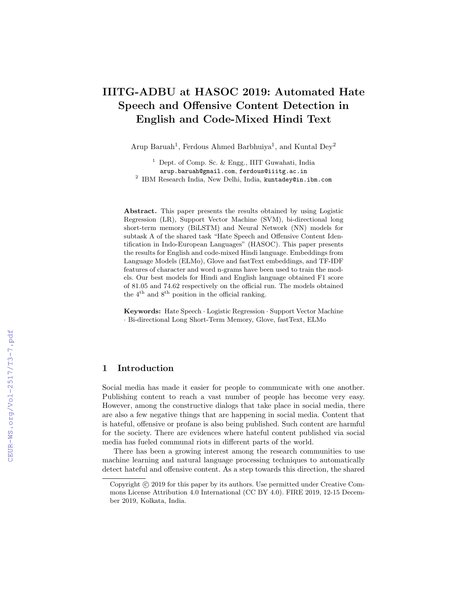# IIITG-ADBU at HASOC 2019: Automated Hate Speech and Offensive Content Detection in English and Code-Mixed Hindi Text

Arup Baruah<sup>1</sup>, Ferdous Ahmed Barbhuiya<sup>1</sup>, and Kuntal Dey<sup>2</sup>

<sup>1</sup> Dept. of Comp. Sc. & Engg., IIIT Guwahati, India arup.baruah@gmail.com, ferdous@iiitg.ac.in  $^2$  IBM Research India, New Delhi, India, kuntadey@in.ibm.com

Abstract. This paper presents the results obtained by using Logistic Regression (LR), Support Vector Machine (SVM), bi-directional long short-term memory (BiLSTM) and Neural Network (NN) models for subtask A of the shared task "Hate Speech and Offensive Content Identification in Indo-European Languages" (HASOC). This paper presents the results for English and code-mixed Hindi language. Embeddings from Language Models (ELMo), Glove and fastText embeddings, and TF-IDF features of character and word n-grams have been used to train the models. Our best models for Hindi and English language obtained F1 score of 81.05 and 74.62 respectively on the official run. The models obtained the  $4^{\text{th}}$  and  $8^{\text{th}}$  position in the official ranking.

Keywords: Hate Speech · Logistic Regression · Support Vector Machine · Bi-directional Long Short-Term Memory, Glove, fastText, ELMo

## 1 Introduction

Social media has made it easier for people to communicate with one another. Publishing content to reach a vast number of people has become very easy. However, among the constructive dialogs that take place in social media, there are also a few negative things that are happening in social media. Content that is hateful, offensive or profane is also being published. Such content are harmful for the society. There are evidences where hateful content published via social media has fueled communal riots in different parts of the world.

There has been a growing interest among the research communities to use machine learning and natural language processing techniques to automatically detect hateful and offensive content. As a step towards this direction, the shared

Copyright  $\odot$  2019 for this paper by its authors. Use permitted under Creative Commons License Attribution 4.0 International (CC BY 4.0). FIRE 2019, 12-15 December 2019, Kolkata, India.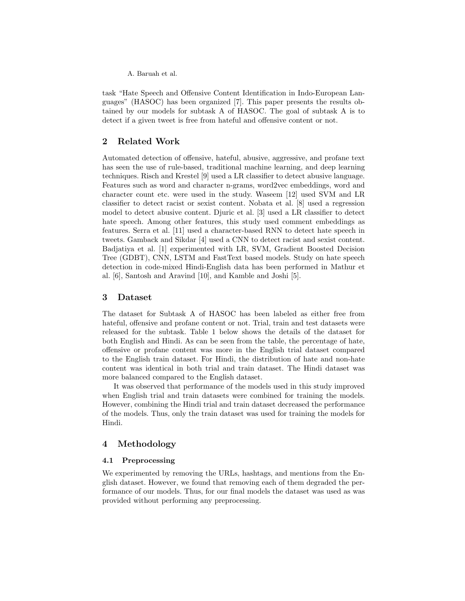task "Hate Speech and Offensive Content Identification in Indo-European Languages" (HASOC) has been organized [7]. This paper presents the results obtained by our models for subtask A of HASOC. The goal of subtask A is to detect if a given tweet is free from hateful and offensive content or not.

## 2 Related Work

Automated detection of offensive, hateful, abusive, aggressive, and profane text has seen the use of rule-based, traditional machine learning, and deep learning techniques. Risch and Krestel [9] used a LR classifier to detect abusive language. Features such as word and character n-grams, word2vec embeddings, word and character count etc. were used in the study. Waseem [12] used SVM and LR classifier to detect racist or sexist content. Nobata et al. [8] used a regression model to detect abusive content. Djuric et al. [3] used a LR classifier to detect hate speech. Among other features, this study used comment embeddings as features. Serra et al. [11] used a character-based RNN to detect hate speech in tweets. Gamback and Sikdar [4] used a CNN to detect racist and sexist content. Badjatiya et al. [1] experimented with LR, SVM, Gradient Boosted Decision Tree (GDBT), CNN, LSTM and FastText based models. Study on hate speech detection in code-mixed Hindi-English data has been performed in Mathur et al. [6], Santosh and Aravind [10], and Kamble and Joshi [5].

### 3 Dataset

The dataset for Subtask A of HASOC has been labeled as either free from hateful, offensive and profane content or not. Trial, train and test datasets were released for the subtask. Table 1 below shows the details of the dataset for both English and Hindi. As can be seen from the table, the percentage of hate, offensive or profane content was more in the English trial dataset compared to the English train dataset. For Hindi, the distribution of hate and non-hate content was identical in both trial and train dataset. The Hindi dataset was more balanced compared to the English dataset.

It was observed that performance of the models used in this study improved when English trial and train datasets were combined for training the models. However, combining the Hindi trial and train dataset decreased the performance of the models. Thus, only the train dataset was used for training the models for Hindi.

### 4 Methodology

#### 4.1 Preprocessing

We experimented by removing the URLs, hashtags, and mentions from the English dataset. However, we found that removing each of them degraded the performance of our models. Thus, for our final models the dataset was used as was provided without performing any preprocessing.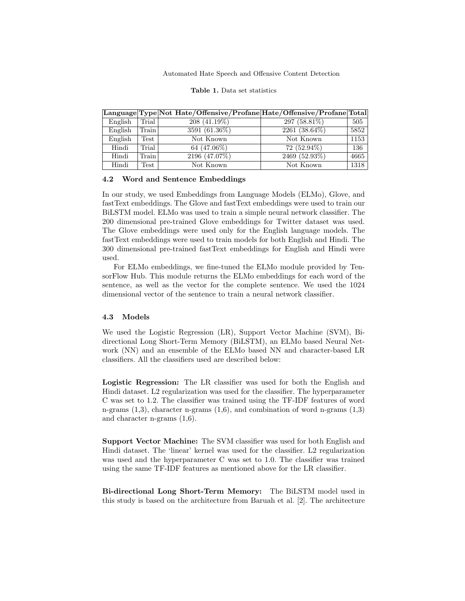Automated Hate Speech and Offensive Content Detection

|         |       | Language Type Not Hate/Offensive/Profane Hate/Offensive/Profane Total |                            |       |
|---------|-------|-----------------------------------------------------------------------|----------------------------|-------|
| English | Trial | $208(41.19\%)$                                                        | 297 (58.81\%)              | $505$ |
| English | Train | $3591(61.36\%)$                                                       | $2261(38.64\%)$            | 5852  |
| English | Test  | Not Known                                                             | Not Known                  | 1153  |
| Hindi   | Trial | 64 (47.06%)                                                           | $72(52.94\%)$              | 136   |
| Hindi   | Train | 2196(47.07%)                                                          | $\overline{2469}$ (52.93%) | 4665  |
| Hindi   | Test  | Not Known                                                             | Not Known                  | 1318  |

Table 1. Data set statistics

#### 4.2 Word and Sentence Embeddings

In our study, we used Embeddings from Language Models (ELMo), Glove, and fastText embeddings. The Glove and fastText embeddings were used to train our BiLSTM model. ELMo was used to train a simple neural network classifier. The 200 dimensional pre-trained Glove embeddings for Twitter dataset was used. The Glove embeddings were used only for the English language models. The fastText embeddings were used to train models for both English and Hindi. The 300 dimensional pre-trained fastText embeddings for English and Hindi were used.

For ELMo embeddings, we fine-tuned the ELMo module provided by TensorFlow Hub. This module returns the ELMo embeddings for each word of the sentence, as well as the vector for the complete sentence. We used the 1024 dimensional vector of the sentence to train a neural network classifier.

### 4.3 Models

We used the Logistic Regression (LR), Support Vector Machine (SVM), Bidirectional Long Short-Term Memory (BiLSTM), an ELMo based Neural Network (NN) and an ensemble of the ELMo based NN and character-based LR classifiers. All the classifiers used are described below:

Logistic Regression: The LR classifier was used for both the English and Hindi dataset. L2 regularization was used for the classifier. The hyperparameter C was set to 1.2. The classifier was trained using the TF-IDF features of word n-grams  $(1,3)$ , character n-grams  $(1,6)$ , and combination of word n-grams  $(1,3)$ and character n-grams (1,6).

Support Vector Machine: The SVM classifier was used for both English and Hindi dataset. The 'linear' kernel was used for the classifier. L2 regularization was used and the hyperparameter C was set to 1.0. The classifier was trained using the same TF-IDF features as mentioned above for the LR classifier.

Bi-directional Long Short-Term Memory: The BiLSTM model used in this study is based on the architecture from Baruah et al. [2]. The architecture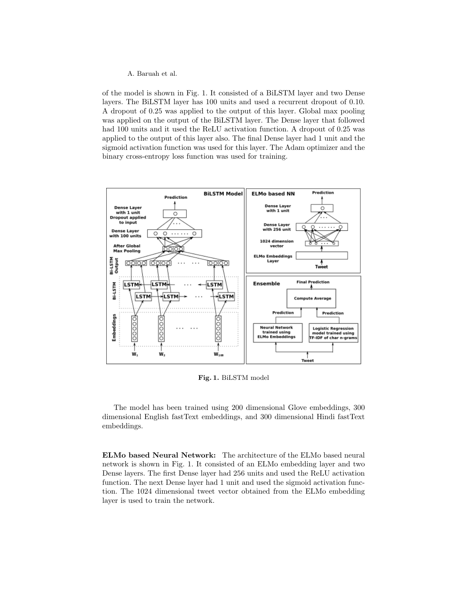of the model is shown in Fig. 1. It consisted of a BiLSTM layer and two Dense layers. The BiLSTM layer has 100 units and used a recurrent dropout of 0.10. A dropout of 0.25 was applied to the output of this layer. Global max pooling was applied on the output of the BiLSTM layer. The Dense layer that followed had 100 units and it used the ReLU activation function. A dropout of 0.25 was applied to the output of this layer also. The final Dense layer had 1 unit and the sigmoid activation function was used for this layer. The Adam optimizer and the binary cross-entropy loss function was used for training.



Fig. 1. BiLSTM model

The model has been trained using 200 dimensional Glove embeddings, 300 dimensional English fastText embeddings, and 300 dimensional Hindi fastText embeddings.

ELMo based Neural Network: The architecture of the ELMo based neural network is shown in Fig. 1. It consisted of an ELMo embedding layer and two Dense layers. The first Dense layer had 256 units and used the ReLU activation function. The next Dense layer had 1 unit and used the sigmoid activation function. The 1024 dimensional tweet vector obtained from the ELMo embedding layer is used to train the network.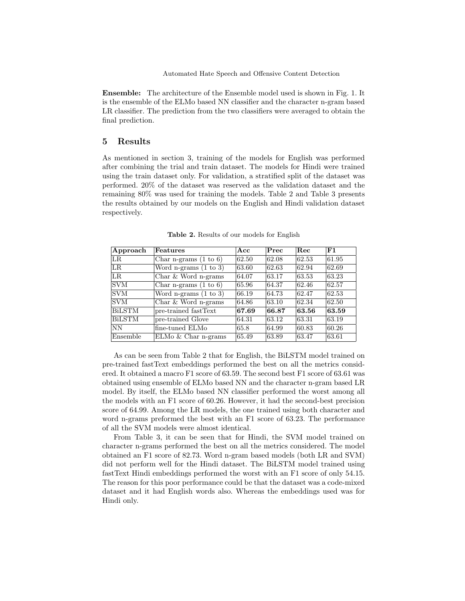Ensemble: The architecture of the Ensemble model used is shown in Fig. 1. It is the ensemble of the ELMo based NN classifier and the character n-gram based LR classifier. The prediction from the two classifiers were averaged to obtain the final prediction.

## 5 Results

As mentioned in section 3, training of the models for English was performed after combining the trial and train dataset. The models for Hindi were trained using the train dataset only. For validation, a stratified split of the dataset was performed. 20% of the dataset was reserved as the validation dataset and the remaining 80% was used for training the models. Table 2 and Table 3 presents the results obtained by our models on the English and Hindi validation dataset respectively.

| Approach      | <b>Features</b>                  | Acc   | Prec  | <b>Rec</b> | F1    |
|---------------|----------------------------------|-------|-------|------------|-------|
| LR.           | Char n-grams $(1 to 6)$          | 62.50 | 62.08 | 62.53      | 61.95 |
| LR            | Word n-grams $(1 \text{ to } 3)$ | 63.60 | 62.63 | 62.94      | 62.69 |
| $_{LR}$       | Char $&$ Word n-grams            | 64.07 | 63.17 | 63.53      | 63.23 |
| <b>SVM</b>    | Char n-grams $(1 to 6)$          | 65.96 | 64.37 | 62.46      | 62.57 |
| <b>SVM</b>    | Word n-grams $(1 \text{ to } 3)$ | 66.19 | 64.73 | 62.47      | 62.53 |
| <b>SVM</b>    | Char $&$ Word n-grams            | 64.86 | 63.10 | 62.34      | 62.50 |
| <b>BiLSTM</b> | pre-trained fastText             | 67.69 | 66.87 | 63.56      | 63.59 |
| <b>BiLSTM</b> | pre-trained Glove                | 64.31 | 63.12 | 63.31      | 63.19 |
| 'NΝ           | fine-tuned ELMo                  | 65.8  | 64.99 | 60.83      | 60.26 |
| Ensemble      | $ELMo & Char n-grams$            | 65.49 | 63.89 | 63.47      | 63.61 |

Table 2. Results of our models for English

As can be seen from Table 2 that for English, the BiLSTM model trained on pre-trained fastText embeddings performed the best on all the metrics considered. It obtained a macro F1 score of 63.59. The second best F1 score of 63.61 was obtained using ensemble of ELMo based NN and the character n-gram based LR model. By itself, the ELMo based NN classifier performed the worst among all the models with an F1 score of 60.26. However, it had the second-best precision score of 64.99. Among the LR models, the one trained using both character and word n-grams preformed the best with an F1 score of 63.23. The performance of all the SVM models were almost identical.

From Table 3, it can be seen that for Hindi, the SVM model trained on character n-grams performed the best on all the metrics considered. The model obtained an F1 score of 82.73. Word n-gram based models (both LR and SVM) did not perform well for the Hindi dataset. The BiLSTM model trained using fastText Hindi embeddings performed the worst with an F1 score of only 54.15. The reason for this poor performance could be that the dataset was a code-mixed dataset and it had English words also. Whereas the embeddings used was for Hindi only.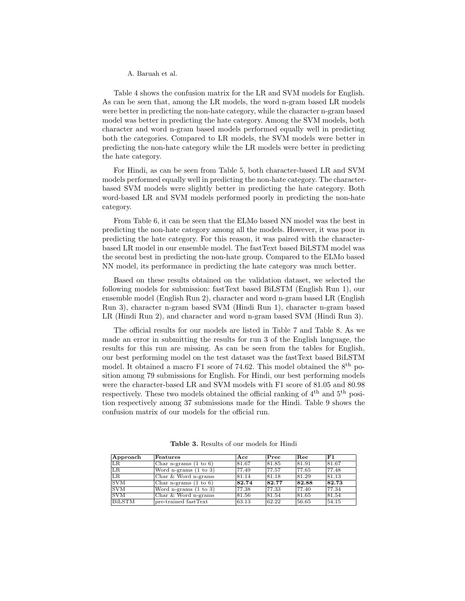Table 4 shows the confusion matrix for the LR and SVM models for English. As can be seen that, among the LR models, the word n-gram based LR models were better in predicting the non-hate category, while the character n-gram based model was better in predicting the hate category. Among the SVM models, both character and word n-gram based models performed equally well in predicting both the categories. Compared to LR models, the SVM models were better in predicting the non-hate category while the LR models were better in predicting the hate category.

For Hindi, as can be seen from Table 5, both character-based LR and SVM models performed equally well in predicting the non-hate category. The characterbased SVM models were slightly better in predicting the hate category. Both word-based LR and SVM models performed poorly in predicting the non-hate category.

From Table 6, it can be seen that the ELMo based NN model was the best in predicting the non-hate category among all the models. However, it was poor in predicting the hate category. For this reason, it was paired with the characterbased LR model in our ensemble model. The fastText based BiLSTM model was the second best in predicting the non-hate group. Compared to the ELMo based NN model, its performance in predicting the hate category was much better.

Based on these results obtained on the validation dataset, we selected the following models for submission: fastText based BiLSTM (English Run 1), our ensemble model (English Run 2), character and word n-gram based LR (English Run 3), character n-gram based SVM (Hindi Run 1), character n-gram based LR (Hindi Run 2), and character and word n-gram based SVM (Hindi Run 3).

The official results for our models are listed in Table 7 and Table 8. As we made an error in submitting the results for run 3 of the English language, the results for this run are missing. As can be seen from the tables for English, our best performing model on the test dataset was the fastText based BiLSTM model. It obtained a macro F1 score of 74.62. This model obtained the  $8<sup>th</sup>$  position among 79 submissions for English. For Hindi, our best performing models were the character-based LR and SVM models with F1 score of 81.05 and 80.98 respectively. These two models obtained the official ranking of  $4<sup>th</sup>$  and  $5<sup>th</sup>$  position respectively among 37 submissions made for the Hindi. Table 9 shows the confusion matrix of our models for the official run.

| Approach        | Features                         | Acc   | $\rm Prec$ | R.ec  | F1    |
|-----------------|----------------------------------|-------|------------|-------|-------|
| LR.             | Char n-grams $(1 \text{ to } 6)$ | 81.67 | 81.85      | 81.91 | 81.67 |
| $_{LR}$         | Word n-grams $(1 to 3)$          | 77.49 | 77.57      | 77.65 | 77.48 |
| $\overline{LR}$ | Char $&$ Word n-grams            | 81.14 | 81.18      | 81.29 | 81.13 |
| ISVM            | Char n-grams $(1 \text{ to } 6)$ | 82.74 | 82.77      | 82.88 | 82.73 |
| <b>SVM</b>      | Word n-grams $(1 to 3)$          | 77.38 | 77.33      | 77.40 | 77.34 |
| <b>SVM</b>      | Char & Word n-grams              | 81.56 | 81.54      | 81.65 | 81.54 |
| <b>BiLSTM</b>   | pre-trained fastText             | 63.13 | 62.22      | 56.65 | 54.15 |

Table 3. Results of our models for Hindi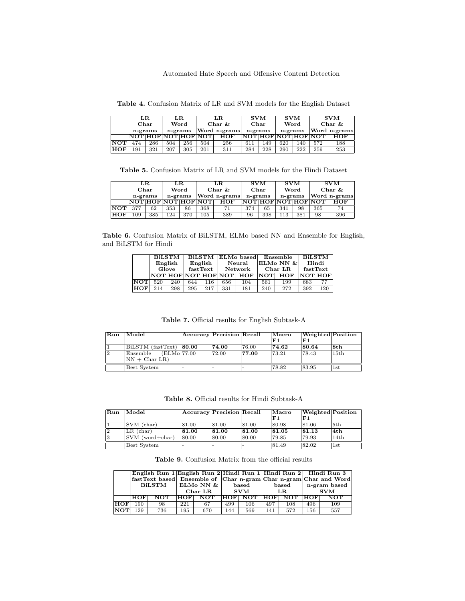Automated Hate Speech and Offensive Content Detection

Table 4. Confusion Matrix of LR and SVM models for the English Dataset

|            | LR.<br>LR.           |     |           | LR.          |                     | SVM        |      | SVM     | SVM       |              |                     |            |
|------------|----------------------|-----|-----------|--------------|---------------------|------------|------|---------|-----------|--------------|---------------------|------------|
|            | Word<br>${\bf Char}$ |     | Char $\&$ |              | ${\bf Char}$        |            | Word |         | Char $\&$ |              |                     |            |
|            | n-grams<br>n-grams   |     |           | Word n-grams |                     | n-grams    |      | n-grams |           | Word n-grams |                     |            |
|            |                      |     |           |              | NOT HOF NOT HOF NOT | <b>HOF</b> |      |         |           |              | NOT HOF NOT HOF NOT | <b>HOF</b> |
| <b>NOT</b> | 474                  | 286 | 504       | 256          | 504                 | 256        | 611  | 149     | 620       | 140          | 572                 | 188        |
| <b>HOF</b> | 191                  | 321 | 207       | 305          | 201                 | 311        | 284  | 228     | 290       | 222          | 259                 | 253        |

Table 5. Confusion Matrix of LR and SVM models for the Hindi Dataset

|            |                    | $_{\rm LR}$<br>LR. |              |      | LR.                 |           | <b>SVM</b> |      | <b>SVM</b>   | <b>SVM</b> |                     |            |  |
|------------|--------------------|--------------------|--------------|------|---------------------|-----------|------------|------|--------------|------------|---------------------|------------|--|
|            | ${\bf Char}$       |                    |              | Word |                     | Char $\&$ |            | Char |              | Word       |                     | Char $\&$  |  |
|            | n-grams<br>n-grams |                    | Word n-grams |      | n-grams             |           | n-grams    |      | Word n-grams |            |                     |            |  |
|            |                    |                    |              |      | NOT HOF NOT HOF NOT | HOF       |            |      |              |            | NOT HOF NOT HOF NOT | <b>HOF</b> |  |
| <b>NOT</b> | 377                | 62                 | 353          | 86   | 368                 | 71        | 374        | 65   | 341          | 98         | 365                 | 74         |  |
| <b>HOF</b> | 109                | 385                | 124          | 370  | 105                 | 389       | 96         | 398  | 113          | 381        | 98                  | 396        |  |

Table 6. Confusion Matrix of BiLSTM, ELMo based NN and Ensemble for English, and BiLSTM for Hindi

|              | <b>BiLSTM</b> |     | <b>BiLSTM</b> |          | ELMo based |                         |            | Ensemble               | <b>BiLSTM</b>  |     |
|--------------|---------------|-----|---------------|----------|------------|-------------------------|------------|------------------------|----------------|-----|
|              | English       |     |               | English  | Neural     |                         |            | $ {\rm ELMo}$ NN $\& $ | Hindi          |     |
|              | Glove         |     |               | fastText | Network    |                         |            | Char LR.               | fastText       |     |
|              |               |     |               |          |            | NOT HOF NOT HOF NOT HOF | <b>NOT</b> | <b>HOF</b>             | <b>NOT HOF</b> |     |
| NOTI         | 520           | 240 | 644           | 116      | 656        | 104                     | 561        | 199                    | 683            | 77  |
| $_{\rm HOF}$ | 214           | 298 | 295           | 217      | 331        | 181                     | 240        | 272                    | 392            | 120 |

Table 7. Official results for English Subtask-A

| Run | Model                                | Accuracy Precision Recall |       |       | Macro | <b>Weighted</b> Position |      |
|-----|--------------------------------------|---------------------------|-------|-------|-------|--------------------------|------|
|     |                                      |                           |       |       | F1    | F1                       |      |
|     | BiLSTM (fastText) 80.00              |                           | 74.00 | 76.00 | 74.62 | 80.64                    | 8th  |
| 12  | $(ELMo$ <sup>77.00</sup><br>Ensemble |                           | 72.00 | 77.00 | 73.21 | 178.43                   | 15th |
|     | $\text{NN} + \text{Char}$ LR)        |                           |       |       |       |                          |      |
|     | Best System                          |                           |       |       | 78.82 | 83.95                    | 1st  |

Table 8. Official results for Hindi Subtask-A

| Run | Model                    | Accuracy Precision Recall |       |       | Macro | <b>Weighted</b> Position |              |
|-----|--------------------------|---------------------------|-------|-------|-------|--------------------------|--------------|
|     |                          |                           |       |       | F1    | F1                       |              |
|     | SVM (char)               | 81.00                     | 81.00 | 81.00 | 80.98 | 81.06                    | 5th          |
| 12  | $LR$ (char)              | 81.00                     | 81.00 | 81.00 | 81.05 | 81.13                    | 4th          |
| 13  | $\text{SVM}$ (word+char) | 80.00                     | 80.00 | 80.00 | 79.85 | 79.93                    | 14th         |
|     | Best System              |                           |       |       | 81.49 | 82.02                    | $_{\rm 1st}$ |

Table 9. Confusion Matrix from the official results

|            |            |            |                                                                         |              |            |                |     |                    | English Run 1 English Run 2 Hindi Run 1 Hindi Run 2 Hindi Run 3 |              |  |
|------------|------------|------------|-------------------------------------------------------------------------|--------------|------------|----------------|-----|--------------------|-----------------------------------------------------------------|--------------|--|
|            |            |            | <b>fastText based</b> Ensemble of Char n-gram Char n-gram Char and Word |              |            |                |     |                    |                                                                 |              |  |
|            | BiLSTM     |            |                                                                         | ELMo NN $\&$ |            | $_{\rm based}$ |     | $_{\rm based}$     |                                                                 | n-gram based |  |
|            |            |            | $Char$ $LR$                                                             |              | <b>SVM</b> |                | LR. |                    | <b>SVM</b>                                                      |              |  |
|            | <b>HOF</b> | <b>NOT</b> | HOF                                                                     | <b>NOT</b>   |            | HOF NOT        |     | <b>HOF NOT HOF</b> |                                                                 | <b>NOT</b>   |  |
| HOF        | 190        | 98         | 221                                                                     | 67           | 499        | 106            | 497 | 108                | 496                                                             | 109          |  |
| <b>NOT</b> | 129        | 736        | 195                                                                     | 670          | 144        | 569            | 141 | 572                | 156                                                             | 557          |  |